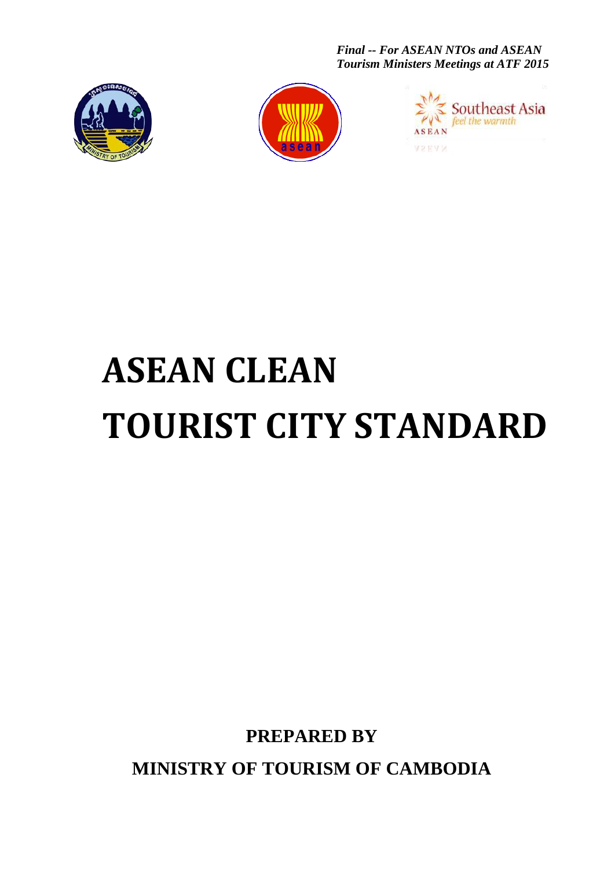*Final -- For ASEAN NTOs and ASEAN Tourism Ministers Meetings at ATF 2015*







# **ASEAN CLEAN TOURIST CITY STANDARD**

**PREPARED BY**

**MINISTRY OF TOURISM OF CAMBODIA**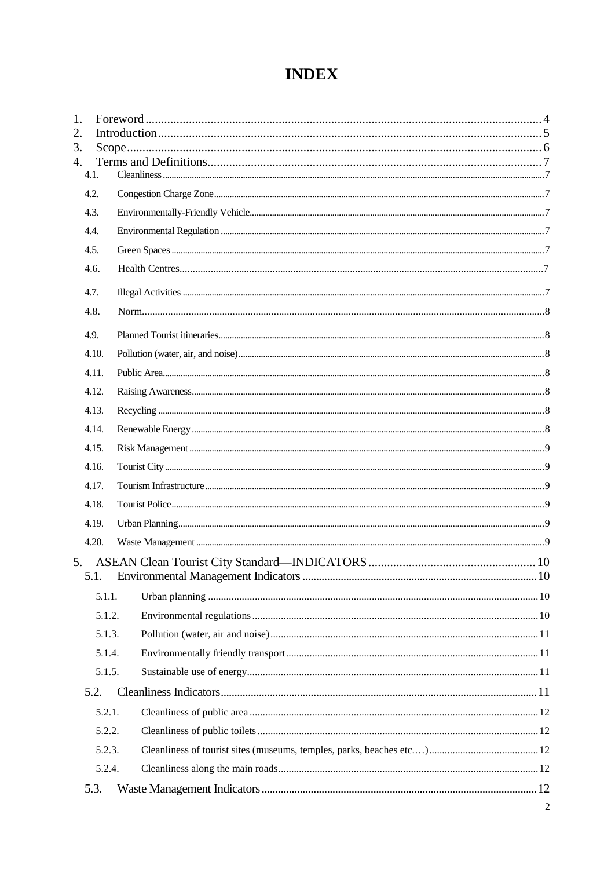# **INDEX**

| 1.<br>2. |        |  |
|----------|--------|--|
| 3.       |        |  |
| 4.       |        |  |
|          | 4.1.   |  |
|          | 4.2.   |  |
|          | 4.3.   |  |
|          | 4.4.   |  |
|          | 4.5.   |  |
|          | 4.6.   |  |
|          | 4.7.   |  |
|          | 4.8.   |  |
|          | 4.9.   |  |
|          | 4.10.  |  |
|          | 4.11.  |  |
|          | 4.12.  |  |
|          | 4.13.  |  |
|          | 4.14.  |  |
|          | 4.15.  |  |
|          | 4.16.  |  |
|          | 4.17.  |  |
|          | 4.18.  |  |
|          | 4.19.  |  |
|          | 4.20.  |  |
| 5.       |        |  |
|          | 5.1.   |  |
|          | 5.1.1. |  |
|          | 5.1.2. |  |
|          | 5.1.3. |  |
|          | 5.1.4. |  |
|          | 5.1.5. |  |
|          | 5.2.   |  |
|          | 5.2.1. |  |
|          | 5.2.2. |  |
|          | 5.2.3. |  |
|          | 5.2.4. |  |
|          | 5.3.   |  |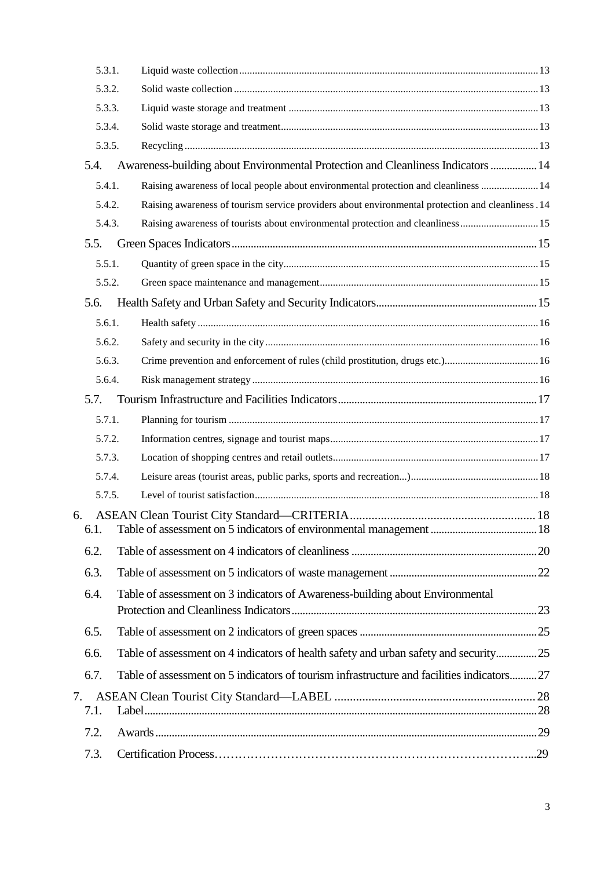|    | 5.3.1. |                                                                                                   |  |
|----|--------|---------------------------------------------------------------------------------------------------|--|
|    | 5.3.2. |                                                                                                   |  |
|    | 5.3.3. |                                                                                                   |  |
|    | 5.3.4. |                                                                                                   |  |
|    | 5.3.5. |                                                                                                   |  |
|    | 5.4.   | Awareness-building about Environmental Protection and Cleanliness Indicators  14                  |  |
|    | 5.4.1. | Raising awareness of local people about environmental protection and cleanliness  14              |  |
|    | 5.4.2. | Raising awareness of tourism service providers about environmental protection and cleanliness .14 |  |
|    | 5.4.3. | Raising awareness of tourists about environmental protection and cleanliness15                    |  |
|    | 5.5.   |                                                                                                   |  |
|    | 5.5.1. |                                                                                                   |  |
|    | 5.5.2. |                                                                                                   |  |
|    | 5.6.   |                                                                                                   |  |
|    | 5.6.1. |                                                                                                   |  |
|    | 5.6.2. |                                                                                                   |  |
|    | 5.6.3. |                                                                                                   |  |
|    | 5.6.4. |                                                                                                   |  |
|    | 5.7.   |                                                                                                   |  |
|    | 5.7.1. |                                                                                                   |  |
|    | 5.7.2. |                                                                                                   |  |
|    | 5.7.3. |                                                                                                   |  |
|    | 5.7.4. |                                                                                                   |  |
|    | 5.7.5. |                                                                                                   |  |
| 6. | 6.1.   |                                                                                                   |  |
|    | 6.2.   |                                                                                                   |  |
|    | 6.3.   |                                                                                                   |  |
|    | 6.4.   | Table of assessment on 3 indicators of Awareness-building about Environmental                     |  |
|    | 6.5.   |                                                                                                   |  |
|    |        |                                                                                                   |  |
|    | 6.6.   | Table of assessment on 4 indicators of health safety and urban safety and security25              |  |
|    | 6.7.   | Table of assessment on 5 indicators of tourism infrastructure and facilities indicators27         |  |
| 7. |        |                                                                                                   |  |
|    | 7.1.   |                                                                                                   |  |
|    | 7.2.   |                                                                                                   |  |
|    | 7.3.   |                                                                                                   |  |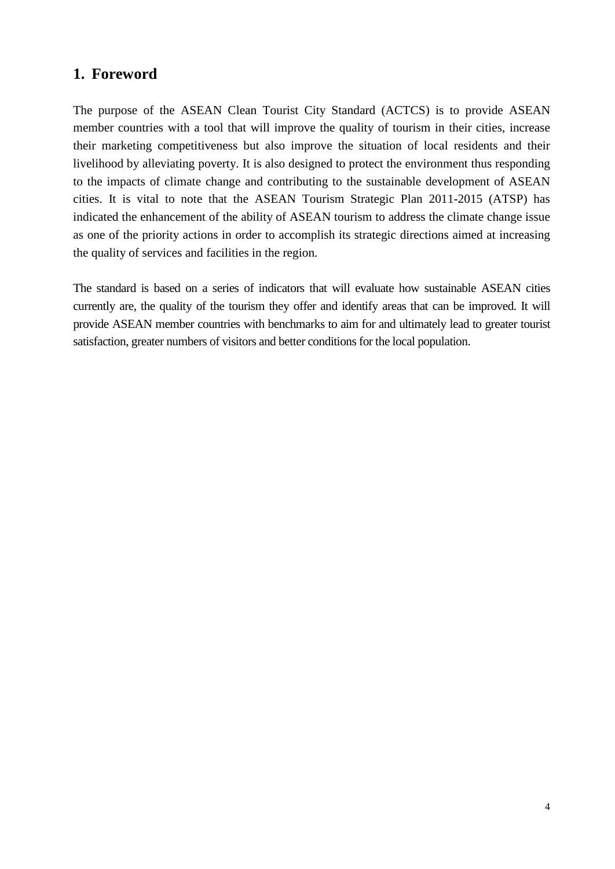## <span id="page-3-0"></span>**1. Foreword**

The purpose of the ASEAN Clean Tourist City Standard (ACTCS) is to provide ASEAN member countries with a tool that will improve the quality of tourism in their cities, increase their marketing competitiveness but also improve the situation of local residents and their livelihood by alleviating poverty. It is also designed to protect the environment thus responding to the impacts of climate change and contributing to the sustainable development of ASEAN cities. It is vital to note that the ASEAN Tourism Strategic Plan 2011-2015 (ATSP) has indicated the enhancement of the ability of ASEAN tourism to address the climate change issue as one of the priority actions in order to accomplish its strategic directions aimed at increasing the quality of services and facilities in the region.

The standard is based on a series of indicators that will evaluate how sustainable ASEAN cities currently are, the quality of the tourism they offer and identify areas that can be improved. It will provide ASEAN member countries with benchmarks to aim for and ultimately lead to greater tourist satisfaction, greater numbers of visitors and better conditions for the local population.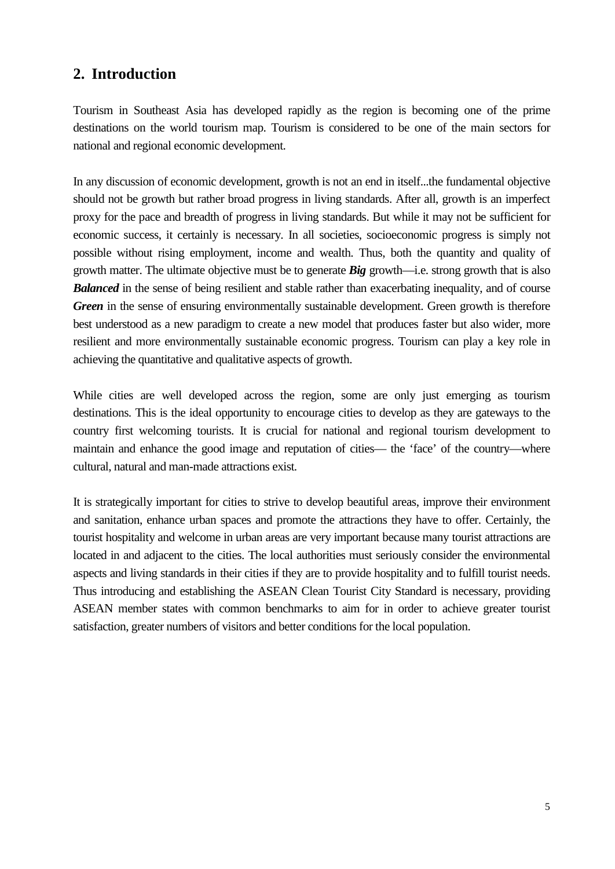# <span id="page-4-0"></span>**2. Introduction**

Tourism in Southeast Asia has developed rapidly as the region is becoming one of the prime destinations on the world tourism map. Tourism is considered to be one of the main sectors for national and regional economic development.

In any discussion of economic development, growth is not an end in itself...the fundamental objective should not be growth but rather broad progress in living standards. After all, growth is an imperfect proxy for the pace and breadth of progress in living standards. But while it may not be sufficient for economic success, it certainly is necessary. In all societies, socioeconomic progress is simply not possible without rising employment, income and wealth. Thus, both the quantity and quality of growth matter. The ultimate objective must be to generate *Big* growth—i.e. strong growth that is also *Balanced* in the sense of being resilient and stable rather than exacerbating inequality, and of course *Green* in the sense of ensuring environmentally sustainable development. Green growth is therefore best understood as a new paradigm to create a new model that produces faster but also wider, more resilient and more environmentally sustainable economic progress. Tourism can play a key role in achieving the quantitative and qualitative aspects of growth.

While cities are well developed across the region, some are only just emerging as tourism destinations. This is the ideal opportunity to encourage cities to develop as they are gateways to the country first welcoming tourists. It is crucial for national and regional tourism development to maintain and enhance the good image and reputation of cities— the 'face' of the country—where cultural, natural and man-made attractions exist.

It is strategically important for cities to strive to develop beautiful areas, improve their environment and sanitation, enhance urban spaces and promote the attractions they have to offer. Certainly, the tourist hospitality and welcome in urban areas are very important because many tourist attractions are located in and adjacent to the cities. The local authorities must seriously consider the environmental aspects and living standards in their cities if they are to provide hospitality and to fulfill tourist needs. Thus introducing and establishing the ASEAN Clean Tourist City Standard is necessary, providing ASEAN member states with common benchmarks to aim for in order to achieve greater tourist satisfaction, greater numbers of visitors and better conditions for the local population.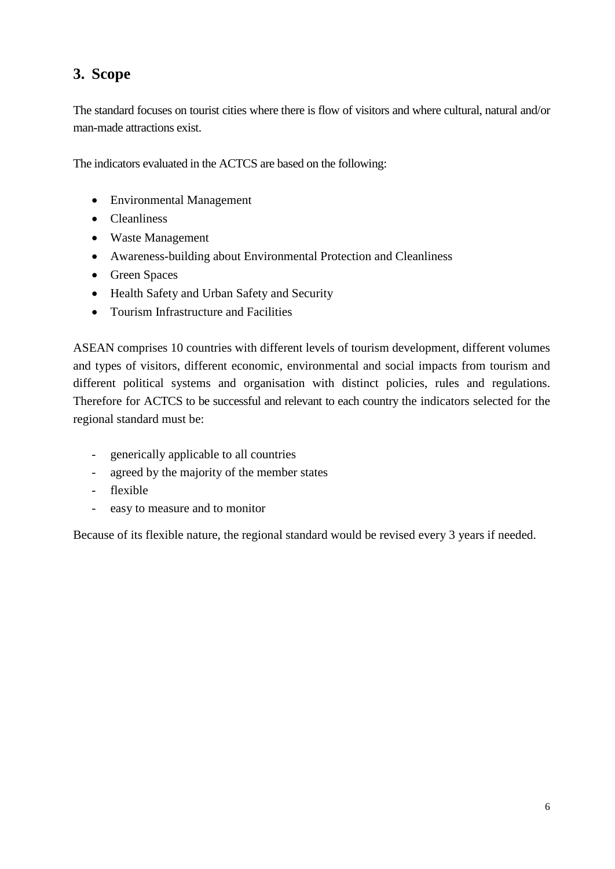# <span id="page-5-0"></span>**3. Scope**

The standard focuses on tourist cities where there is flow of visitors and where cultural, natural and/or man-made attractions exist.

The indicators evaluated in the ACTCS are based on the following:

- Environmental Management
- Cleanliness
- Waste Management
- Awareness-building about Environmental Protection and Cleanliness
- Green Spaces
- Health Safety and Urban Safety and Security
- Tourism Infrastructure and Facilities

ASEAN comprises 10 countries with different levels of tourism development, different volumes and types of visitors, different economic, environmental and social impacts from tourism and different political systems and organisation with distinct policies, rules and regulations. Therefore for ACTCS to be successful and relevant to each country the indicators selected for the regional standard must be:

- generically applicable to all countries
- agreed by the majority of the member states
- flexible
- easy to measure and to monitor

Because of its flexible nature, the regional standard would be revised every 3 years if needed.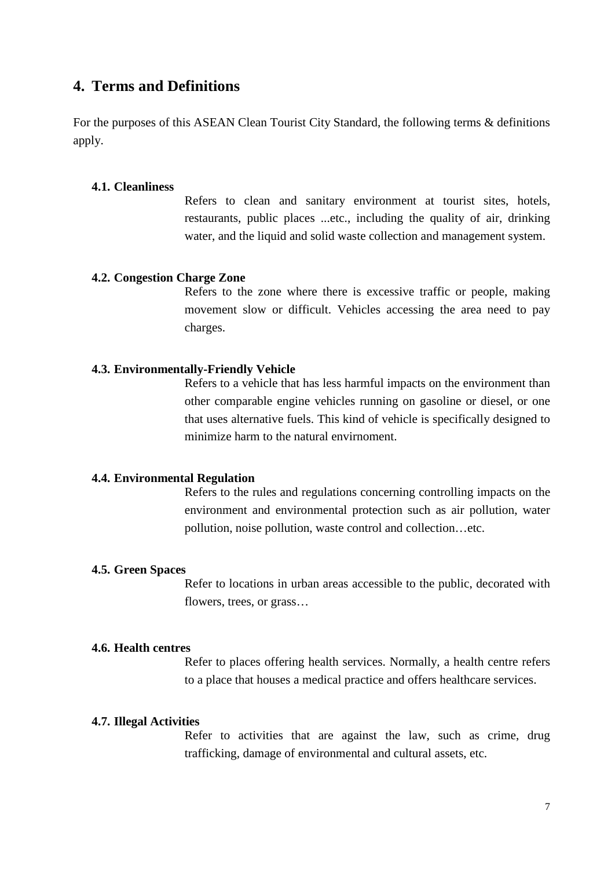## <span id="page-6-0"></span>**4. Terms and Definitions**

For the purposes of this ASEAN Clean Tourist City Standard, the following terms & definitions apply.

#### <span id="page-6-1"></span>**4.1. Cleanliness**

Refers to clean and sanitary environment at tourist sites, hotels, restaurants, public places ...etc., including the quality of air, drinking water, and the liquid and solid waste collection and management system.

#### <span id="page-6-2"></span>**4.2. Congestion Charge Zone**

Refers to the zone where there is excessive traffic or people, making movement slow or difficult. Vehicles accessing the area need to pay charges.

#### <span id="page-6-3"></span>**4.3. Environmentally-Friendly Vehicle**

Refers to a vehicle that has less harmful impacts on the environment than other comparable engine vehicles running on gasoline or diesel, or one that uses alternative fuels. This kind of vehicle is specifically designed to minimize harm to the natural envirnoment.

#### <span id="page-6-4"></span>**4.4. Environmental Regulation**

Refers to the rules and regulations concerning controlling impacts on the environment and environmental protection such as air pollution, water pollution, noise pollution, waste control and collection…etc.

#### <span id="page-6-5"></span>**4.5. Green Spaces**

Refer to locations in urban areas accessible to the public, decorated with flowers, trees, or grass…

#### **4.6. Health centres**

Refer to places offering health services. Normally, a health centre refers to a place that houses a medical practice and offers healthcare services.

#### <span id="page-6-6"></span>**4.7. Illegal Activities**

Refer to activities that are against the law, such as crime, drug trafficking, damage of environmental and cultural assets, etc.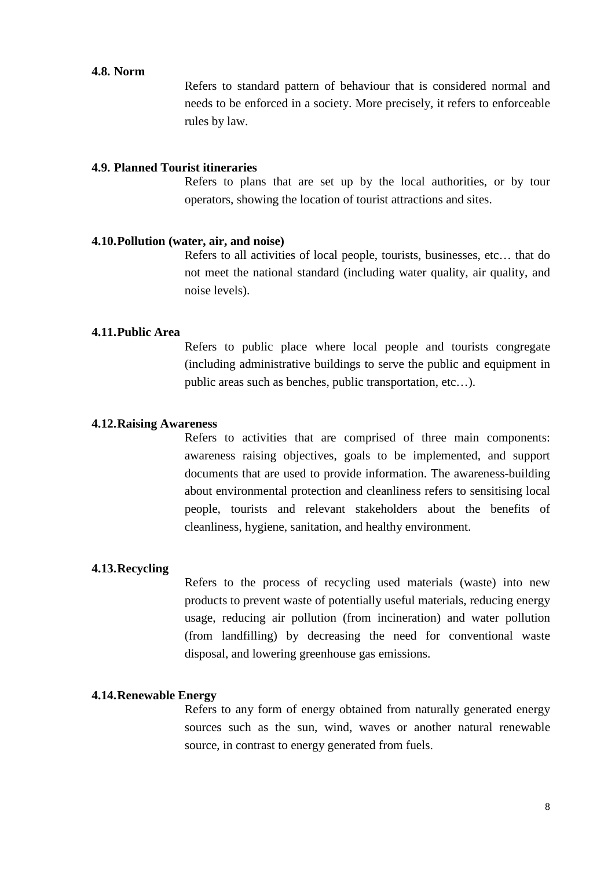#### **4.8. Norm**

Refers to standard pattern of behaviour that is considered normal and needs to be enforced in a society. More precisely, it refers to enforceable rules by law.

#### <span id="page-7-0"></span>**4.9. Planned Tourist itineraries**

Refers to plans that are set up by the local authorities, or by tour operators, showing the location of tourist attractions and sites.

#### <span id="page-7-1"></span>**4.10.Pollution (water, air, and noise)**

Refers to all activities of local people, tourists, businesses, etc… that do not meet the national standard (including water quality, air quality, and noise levels).

#### <span id="page-7-2"></span>**4.11.Public Area**

Refers to public place where local people and tourists congregate (including administrative buildings to serve the public and equipment in public areas such as benches, public transportation, etc…).

#### <span id="page-7-3"></span>**4.12.Raising Awareness**

Refers to activities that are comprised of three main components: awareness raising objectives, goals to be implemented, and support documents that are used to provide information. The awareness-building about environmental protection and cleanliness refers to sensitising local people, tourists and relevant stakeholders about the benefits of cleanliness, hygiene, sanitation, and healthy environment.

#### <span id="page-7-4"></span>**4.13.Recycling**

Refers to the process of recycling used materials (waste) into new products to prevent waste of potentially useful materials, reducing energy usage, reducing air pollution (from incineration) and water pollution (from landfilling) by decreasing the need for conventional waste disposal, and lowering greenhouse gas emissions.

#### <span id="page-7-5"></span>**4.14.Renewable Energy**

Refers to any form of energy obtained from naturally generated energy sources such as the sun, wind, waves or another natural renewable source, in contrast to energy generated from fuels.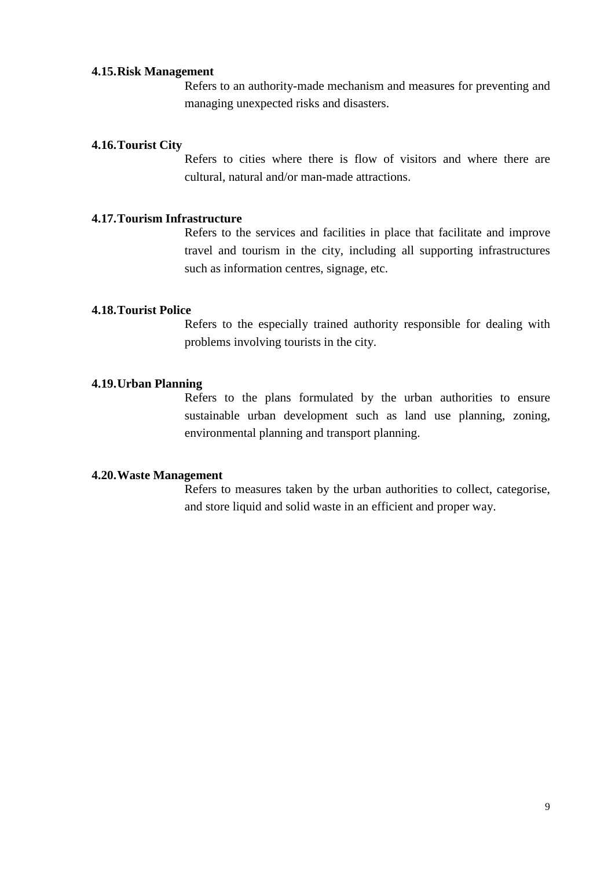#### <span id="page-8-0"></span>**4.15.Risk Management**

Refers to an authority-made mechanism and measures for preventing and managing unexpected risks and disasters.

#### <span id="page-8-1"></span>**4.16.Tourist City**

Refers to cities where there is flow of visitors and where there are cultural, natural and/or man-made attractions.

#### <span id="page-8-2"></span>**4.17.Tourism Infrastructure**

Refers to the services and facilities in place that facilitate and improve travel and tourism in the city, including all supporting infrastructures such as information centres, signage, etc.

#### <span id="page-8-3"></span>**4.18.Tourist Police**

Refers to the especially trained authority responsible for dealing with problems involving tourists in the city.

#### <span id="page-8-4"></span>**4.19.Urban Planning**

Refers to the plans formulated by the urban authorities to ensure sustainable urban development such as land use planning, zoning, environmental planning and transport planning.

#### <span id="page-8-5"></span>**4.20.Waste Management**

Refers to measures taken by the urban authorities to collect, categorise, and store liquid and solid waste in an efficient and proper way.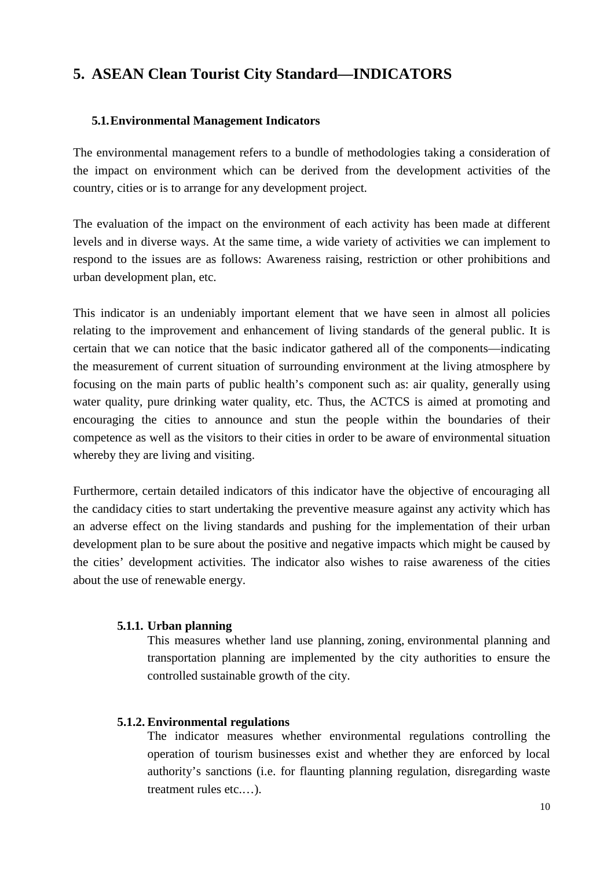# <span id="page-9-0"></span>**5. ASEAN Clean Tourist City Standard—INDICATORS**

#### <span id="page-9-1"></span>**5.1.Environmental Management Indicators**

The environmental management refers to a bundle of methodologies taking a consideration of the impact on environment which can be derived from the development activities of the country, cities or is to arrange for any development project.

The evaluation of the impact on the environment of each activity has been made at different levels and in diverse ways. At the same time, a wide variety of activities we can implement to respond to the issues are as follows: Awareness raising, restriction or other prohibitions and urban development plan, etc.

This indicator is an undeniably important element that we have seen in almost all policies relating to the improvement and enhancement of living standards of the general public. It is certain that we can notice that the basic indicator gathered all of the components—indicating the measurement of current situation of surrounding environment at the living atmosphere by focusing on the main parts of public health's component such as: air quality, generally using water quality, pure drinking water quality, etc. Thus, the ACTCS is aimed at promoting and encouraging the cities to announce and stun the people within the boundaries of their competence as well as the visitors to their cities in order to be aware of environmental situation whereby they are living and visiting.

Furthermore, certain detailed indicators of this indicator have the objective of encouraging all the candidacy cities to start undertaking the preventive measure against any activity which has an adverse effect on the living standards and pushing for the implementation of their urban development plan to be sure about the positive and negative impacts which might be caused by the cities' development activities. The indicator also wishes to raise awareness of the cities about the use of renewable energy.

#### <span id="page-9-2"></span>**5.1.1. Urban planning**

This measures whether land use planning, zoning, environmental planning and transportation planning are implemented by the city authorities to ensure the controlled sustainable growth of the city.

#### <span id="page-9-3"></span>**5.1.2. Environmental regulations**

The indicator measures whether environmental regulations controlling the operation of tourism businesses exist and whether they are enforced by local authority's sanctions (i.e. for flaunting planning regulation, disregarding waste treatment rules etc.…).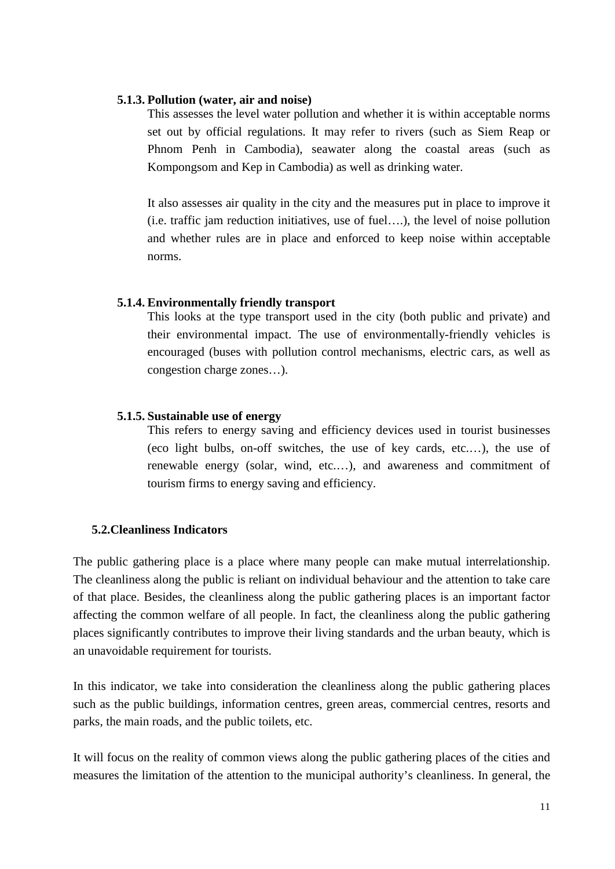#### <span id="page-10-0"></span>**5.1.3. Pollution (water, air and noise)**

This assesses the level water pollution and whether it is within acceptable norms set out by official regulations. It may refer to rivers (such as Siem Reap or Phnom Penh in Cambodia), seawater along the coastal areas (such as Kompongsom and Kep in Cambodia) as well as drinking water.

It also assesses air quality in the city and the measures put in place to improve it (i.e. traffic jam reduction initiatives, use of fuel….), the level of noise pollution and whether rules are in place and enforced to keep noise within acceptable norms.

#### <span id="page-10-1"></span>**5.1.4. Environmentally friendly transport**

This looks at the type transport used in the city (both public and private) and their environmental impact. The use of environmentally-friendly vehicles is encouraged (buses with pollution control mechanisms, electric cars, as well as congestion charge zones…).

#### <span id="page-10-2"></span>**5.1.5. Sustainable use of energy**

This refers to energy saving and efficiency devices used in tourist businesses (eco light bulbs, on-off switches, the use of key cards, etc.…), the use of renewable energy (solar, wind, etc.…), and awareness and commitment of tourism firms to energy saving and efficiency.

#### <span id="page-10-3"></span>**5.2.Cleanliness Indicators**

The public gathering place is a place where many people can make mutual interrelationship. The cleanliness along the public is reliant on individual behaviour and the attention to take care of that place. Besides, the cleanliness along the public gathering places is an important factor affecting the common welfare of all people. In fact, the cleanliness along the public gathering places significantly contributes to improve their living standards and the urban beauty, which is an unavoidable requirement for tourists.

In this indicator, we take into consideration the cleanliness along the public gathering places such as the public buildings, information centres, green areas, commercial centres, resorts and parks, the main roads, and the public toilets, etc.

It will focus on the reality of common views along the public gathering places of the cities and measures the limitation of the attention to the municipal authority's cleanliness. In general, the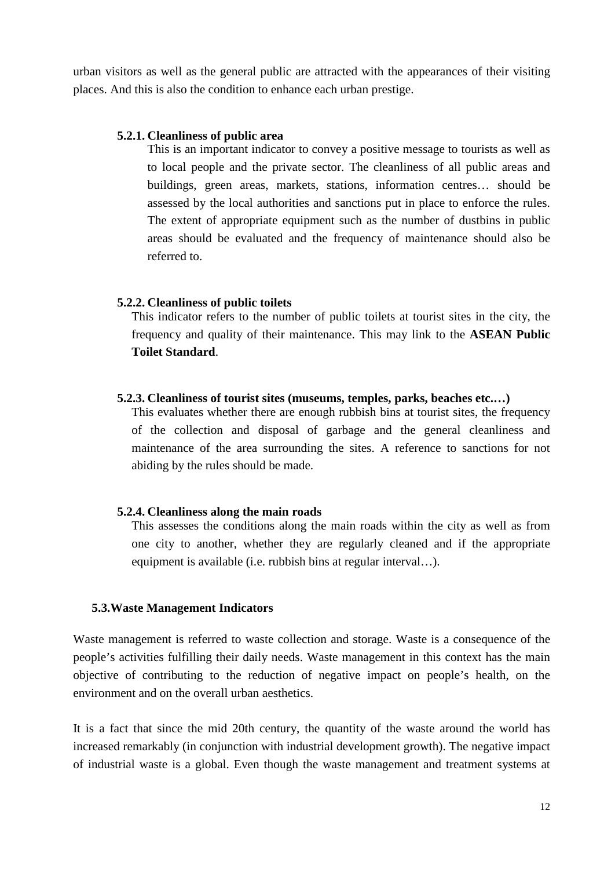urban visitors as well as the general public are attracted with the appearances of their visiting places. And this is also the condition to enhance each urban prestige.

#### <span id="page-11-0"></span>**5.2.1. Cleanliness of public area**

This is an important indicator to convey a positive message to tourists as well as to local people and the private sector. The cleanliness of all public areas and buildings, green areas, markets, stations, information centres… should be assessed by the local authorities and sanctions put in place to enforce the rules. The extent of appropriate equipment such as the number of dustbins in public areas should be evaluated and the frequency of maintenance should also be referred to.

#### <span id="page-11-1"></span>**5.2.2. Cleanliness of public toilets**

This indicator refers to the number of public toilets at tourist sites in the city, the frequency and quality of their maintenance. This may link to the **ASEAN Public Toilet Standard**.

#### <span id="page-11-2"></span>**5.2.3. Cleanliness of tourist sites (museums, temples, parks, beaches etc.…)**

This evaluates whether there are enough rubbish bins at tourist sites, the frequency of the collection and disposal of garbage and the general cleanliness and maintenance of the area surrounding the sites. A reference to sanctions for not abiding by the rules should be made.

#### <span id="page-11-3"></span>**5.2.4. Cleanliness along the main roads**

This assesses the conditions along the main roads within the city as well as from one city to another, whether they are regularly cleaned and if the appropriate equipment is available (i.e. rubbish bins at regular interval…).

#### <span id="page-11-4"></span>**5.3.Waste Management Indicators**

Waste management is referred to waste collection and storage. Waste is a consequence of the people's activities fulfilling their daily needs. Waste management in this context has the main objective of contributing to the reduction of negative impact on people's health, on the environment and on the overall urban aesthetics.

It is a fact that since the mid 20th century, the quantity of the waste around the world has increased remarkably (in conjunction with industrial development growth). The negative impact of industrial waste is a global. Even though the waste management and treatment systems at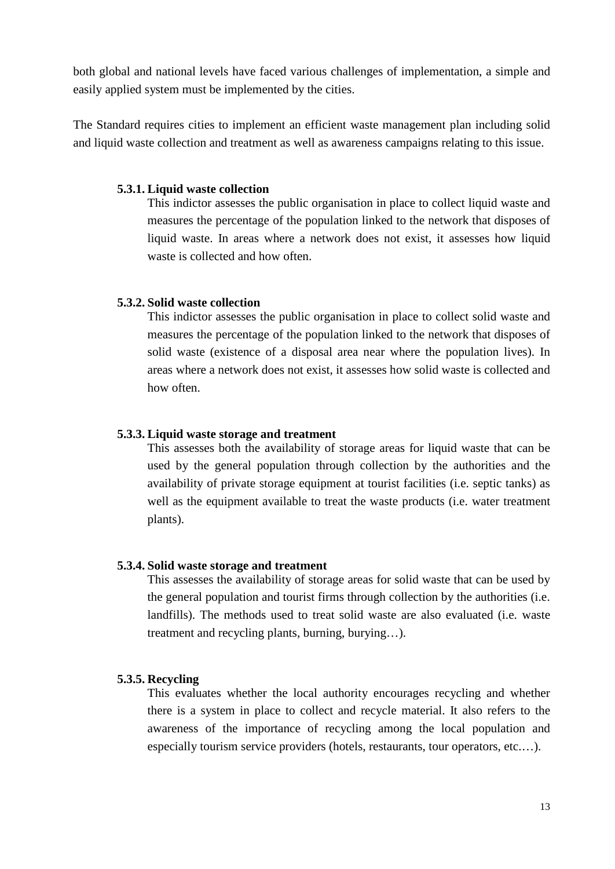both global and national levels have faced various challenges of implementation, a simple and easily applied system must be implemented by the cities.

The Standard requires cities to implement an efficient waste management plan including solid and liquid waste collection and treatment as well as awareness campaigns relating to this issue.

#### <span id="page-12-0"></span>**5.3.1. Liquid waste collection**

This indictor assesses the public organisation in place to collect liquid waste and measures the percentage of the population linked to the network that disposes of liquid waste. In areas where a network does not exist, it assesses how liquid waste is collected and how often.

#### <span id="page-12-1"></span>**5.3.2. Solid waste collection**

This indictor assesses the public organisation in place to collect solid waste and measures the percentage of the population linked to the network that disposes of solid waste (existence of a disposal area near where the population lives). In areas where a network does not exist, it assesses how solid waste is collected and how often.

#### <span id="page-12-2"></span>**5.3.3. Liquid waste storage and treatment**

This assesses both the availability of storage areas for liquid waste that can be used by the general population through collection by the authorities and the availability of private storage equipment at tourist facilities (i.e. septic tanks) as well as the equipment available to treat the waste products (i.e. water treatment plants).

#### <span id="page-12-3"></span>**5.3.4. Solid waste storage and treatment**

This assesses the availability of storage areas for solid waste that can be used by the general population and tourist firms through collection by the authorities (i.e. landfills). The methods used to treat solid waste are also evaluated (i.e. waste treatment and recycling plants, burning, burying…).

#### <span id="page-12-4"></span>**5.3.5. Recycling**

This evaluates whether the local authority encourages recycling and whether there is a system in place to collect and recycle material. It also refers to the awareness of the importance of recycling among the local population and especially tourism service providers (hotels, restaurants, tour operators, etc.…).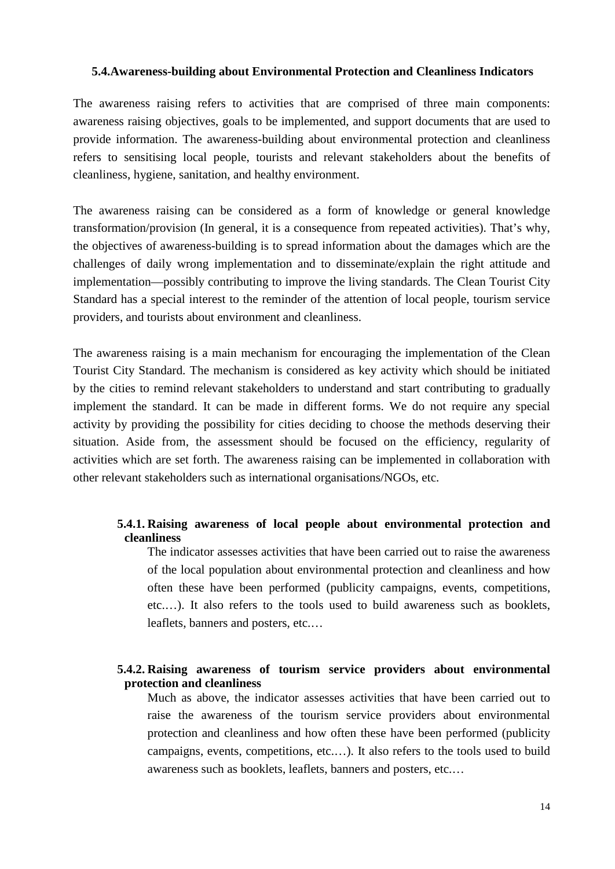#### <span id="page-13-0"></span>**5.4.Awareness-building about Environmental Protection and Cleanliness Indicators**

The awareness raising refers to activities that are comprised of three main components: awareness raising objectives, goals to be implemented, and support documents that are used to provide information. The awareness-building about environmental protection and cleanliness refers to sensitising local people, tourists and relevant stakeholders about the benefits of cleanliness, hygiene, sanitation, and healthy environment.

The awareness raising can be considered as a form of knowledge or general knowledge transformation/provision (In general, it is a consequence from repeated activities). That's why, the objectives of awareness-building is to spread information about the damages which are the challenges of daily wrong implementation and to disseminate/explain the right attitude and implementation—possibly contributing to improve the living standards. The Clean Tourist City Standard has a special interest to the reminder of the attention of local people, tourism service providers, and tourists about environment and cleanliness.

The awareness raising is a main mechanism for encouraging the implementation of the Clean Tourist City Standard. The mechanism is considered as key activity which should be initiated by the cities to remind relevant stakeholders to understand and start contributing to gradually implement the standard. It can be made in different forms. We do not require any special activity by providing the possibility for cities deciding to choose the methods deserving their situation. Aside from, the assessment should be focused on the efficiency, regularity of activities which are set forth. The awareness raising can be implemented in collaboration with other relevant stakeholders such as international organisations/NGOs, etc.

#### <span id="page-13-1"></span>**5.4.1. Raising awareness of local people about environmental protection and cleanliness**

The indicator assesses activities that have been carried out to raise the awareness of the local population about environmental protection and cleanliness and how often these have been performed (publicity campaigns, events, competitions, etc.…). It also refers to the tools used to build awareness such as booklets, leaflets, banners and posters, etc.…

#### <span id="page-13-2"></span>**5.4.2. Raising awareness of tourism service providers about environmental protection and cleanliness**

Much as above, the indicator assesses activities that have been carried out to raise the awareness of the tourism service providers about environmental protection and cleanliness and how often these have been performed (publicity campaigns, events, competitions, etc.…). It also refers to the tools used to build awareness such as booklets, leaflets, banners and posters, etc.…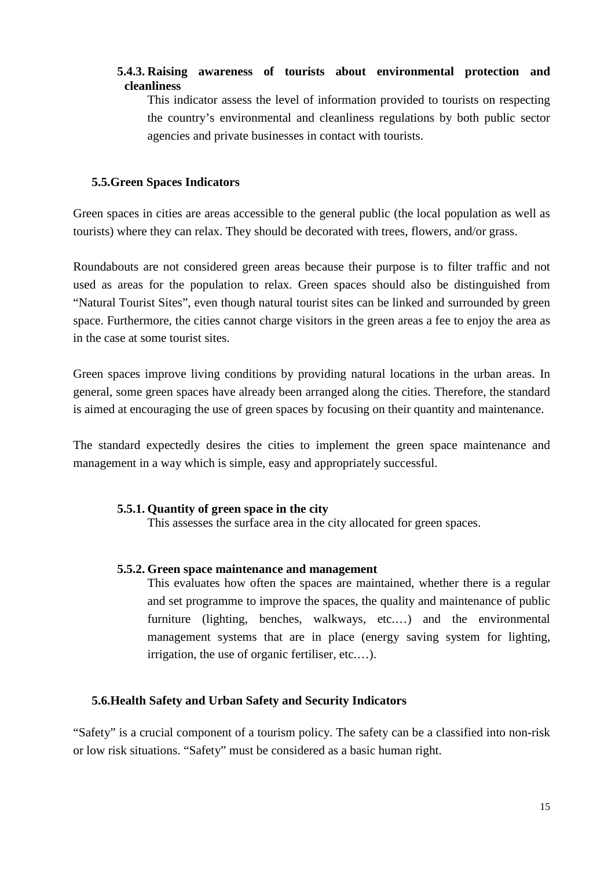## <span id="page-14-0"></span>**5.4.3. Raising awareness of tourists about environmental protection and cleanliness**

This indicator assess the level of information provided to tourists on respecting the country's environmental and cleanliness regulations by both public sector agencies and private businesses in contact with tourists.

#### <span id="page-14-1"></span>**5.5.Green Spaces Indicators**

Green spaces in cities are areas accessible to the general public (the local population as well as tourists) where they can relax. They should be decorated with trees, flowers, and/or grass.

Roundabouts are not considered green areas because their purpose is to filter traffic and not used as areas for the population to relax. Green spaces should also be distinguished from "Natural Tourist Sites", even though natural tourist sites can be linked and surrounded by green space. Furthermore, the cities cannot charge visitors in the green areas a fee to enjoy the area as in the case at some tourist sites.

Green spaces improve living conditions by providing natural locations in the urban areas. In general, some green spaces have already been arranged along the cities. Therefore, the standard is aimed at encouraging the use of green spaces by focusing on their quantity and maintenance.

The standard expectedly desires the cities to implement the green space maintenance and management in a way which is simple, easy and appropriately successful.

## <span id="page-14-2"></span>**5.5.1. Quantity of green space in the city**

This assesses the surface area in the city allocated for green spaces.

#### <span id="page-14-3"></span>**5.5.2. Green space maintenance and management**

This evaluates how often the spaces are maintained, whether there is a regular and set programme to improve the spaces, the quality and maintenance of public furniture (lighting, benches, walkways, etc.…) and the environmental management systems that are in place (energy saving system for lighting, irrigation, the use of organic fertiliser, etc.…).

## <span id="page-14-4"></span>**5.6.Health Safety and Urban Safety and Security Indicators**

"Safety" is a crucial component of a tourism policy. The safety can be a classified into non-risk or low risk situations. "Safety" must be considered as a basic human right.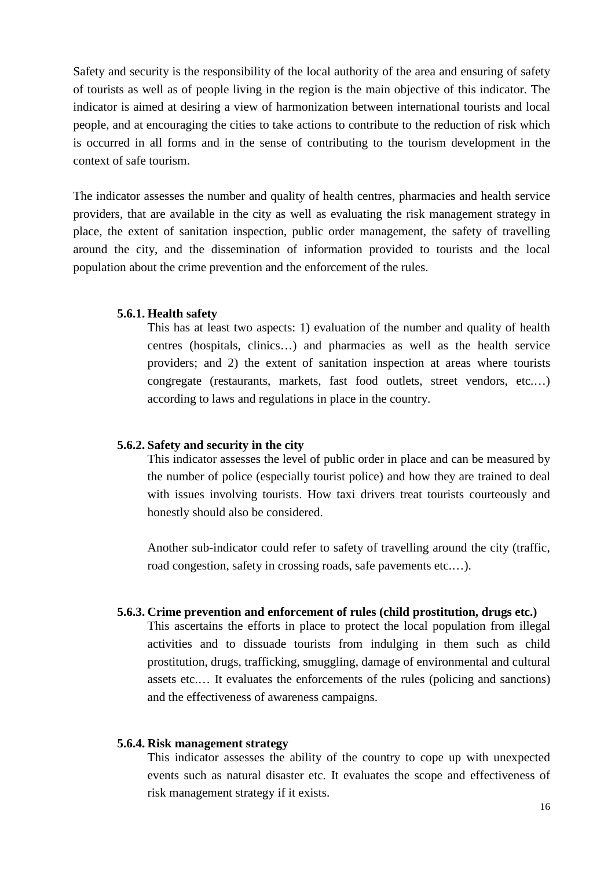Safety and security is the responsibility of the local authority of the area and ensuring of safety of tourists as well as of people living in the region is the main objective of this indicator. The indicator is aimed at desiring a view of harmonization between international tourists and local people, and at encouraging the cities to take actions to contribute to the reduction of risk which is occurred in all forms and in the sense of contributing to the tourism development in the context of safe tourism.

The indicator assesses the number and quality of health centres, pharmacies and health service providers, that are available in the city as well as evaluating the risk management strategy in place, the extent of sanitation inspection, public order management, the safety of travelling around the city, and the dissemination of information provided to tourists and the local population about the crime prevention and the enforcement of the rules.

#### <span id="page-15-0"></span>**5.6.1. Health safety**

This has at least two aspects: 1) evaluation of the number and quality of health centres (hospitals, clinics…) and pharmacies as well as the health service providers; and 2) the extent of sanitation inspection at areas where tourists congregate (restaurants, markets, fast food outlets, street vendors, etc.…) according to laws and regulations in place in the country.

#### <span id="page-15-1"></span>**5.6.2. Safety and security in the city**

This indicator assesses the level of public order in place and can be measured by the number of police (especially tourist police) and how they are trained to deal with issues involving tourists. How taxi drivers treat tourists courteously and honestly should also be considered.

Another sub-indicator could refer to safety of travelling around the city (traffic, road congestion, safety in crossing roads, safe pavements etc....).

#### <span id="page-15-2"></span>**5.6.3. Crime prevention and enforcement of rules (child prostitution, drugs etc.)**

This ascertains the efforts in place to protect the local population from illegal activities and to dissuade tourists from indulging in them such as child prostitution, drugs, trafficking, smuggling, damage of environmental and cultural assets etc.… It evaluates the enforcements of the rules (policing and sanctions) and the effectiveness of awareness campaigns.

#### <span id="page-15-3"></span>**5.6.4. Risk management strategy**

This indicator assesses the ability of the country to cope up with unexpected events such as natural disaster etc. It evaluates the scope and effectiveness of risk management strategy if it exists.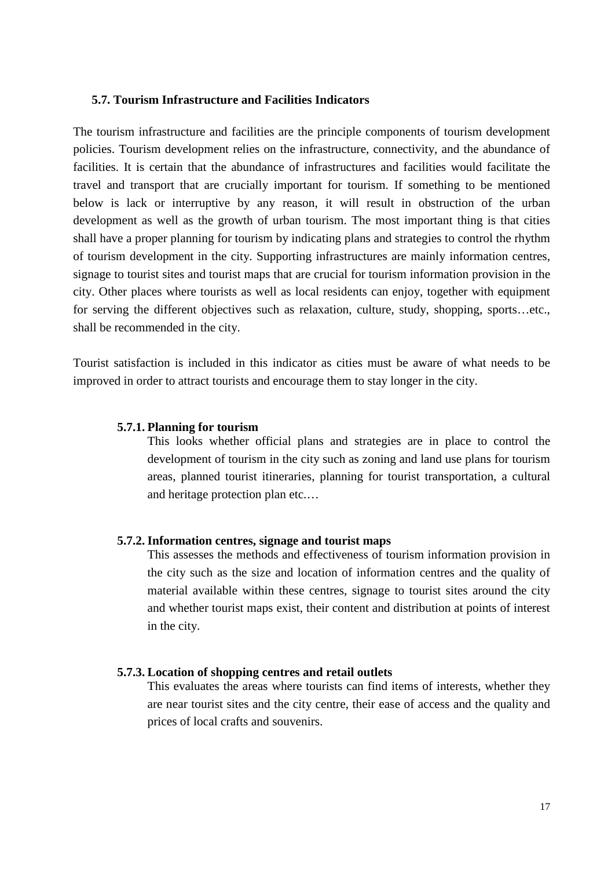## <span id="page-16-0"></span>**5.7. Tourism Infrastructure and Facilities Indicators**

The tourism infrastructure and facilities are the principle components of tourism development policies. Tourism development relies on the infrastructure, connectivity, and the abundance of facilities. It is certain that the abundance of infrastructures and facilities would facilitate the travel and transport that are crucially important for tourism. If something to be mentioned below is lack or interruptive by any reason, it will result in obstruction of the urban development as well as the growth of urban tourism. The most important thing is that cities shall have a proper planning for tourism by indicating plans and strategies to control the rhythm of tourism development in the city. Supporting infrastructures are mainly information centres, signage to tourist sites and tourist maps that are crucial for tourism information provision in the city. Other places where tourists as well as local residents can enjoy, together with equipment for serving the different objectives such as relaxation, culture, study, shopping, sports…etc., shall be recommended in the city.

Tourist satisfaction is included in this indicator as cities must be aware of what needs to be improved in order to attract tourists and encourage them to stay longer in the city.

#### <span id="page-16-1"></span>**5.7.1. Planning for tourism**

This looks whether official plans and strategies are in place to control the development of tourism in the city such as zoning and land use plans for tourism areas, planned tourist itineraries, planning for tourist transportation, a cultural and heritage protection plan etc.…

#### <span id="page-16-2"></span>**5.7.2. Information centres, signage and tourist maps**

This assesses the methods and effectiveness of tourism information provision in the city such as the size and location of information centres and the quality of material available within these centres, signage to tourist sites around the city and whether tourist maps exist, their content and distribution at points of interest in the city.

#### <span id="page-16-3"></span>**5.7.3. Location of shopping centres and retail outlets**

This evaluates the areas where tourists can find items of interests, whether they are near tourist sites and the city centre, their ease of access and the quality and prices of local crafts and souvenirs.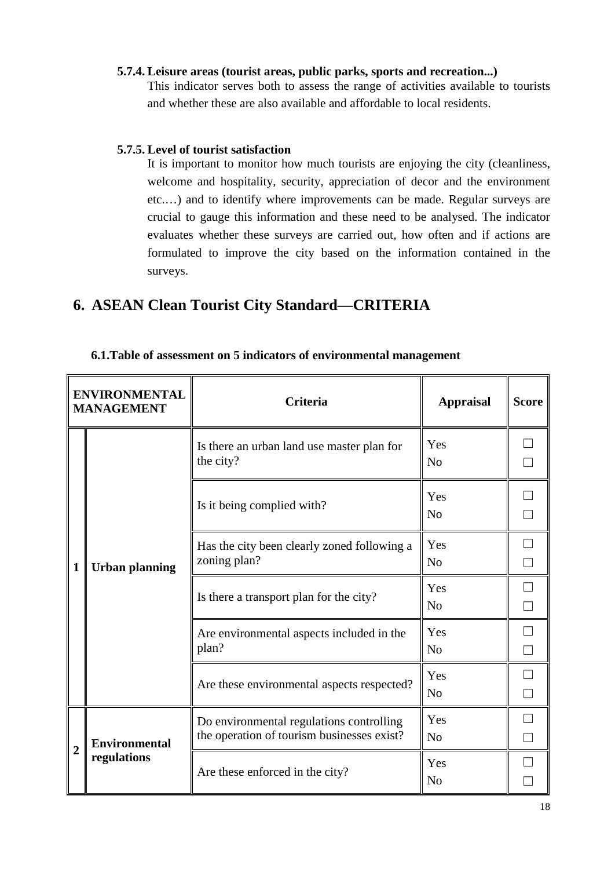## <span id="page-17-0"></span>**5.7.4. Leisure areas (tourist areas, public parks, sports and recreation...)**

This indicator serves both to assess the range of activities available to tourists and whether these are also available and affordable to local residents.

#### <span id="page-17-1"></span>**5.7.5. Level of tourist satisfaction**

It is important to monitor how much tourists are enjoying the city (cleanliness, welcome and hospitality, security, appreciation of decor and the environment etc.…) and to identify where improvements can be made. Regular surveys are crucial to gauge this information and these need to be analysed. The indicator evaluates whether these surveys are carried out, how often and if actions are formulated to improve the city based on the information contained in the surveys.

# <span id="page-17-2"></span>**6. ASEAN Clean Tourist City Standard—CRITERIA**

|                | <b>ENVIRONMENTAL</b><br><b>MANAGEMENT</b> | <b>Criteria</b>                                                                        | <b>Appraisal</b>      | <b>Score</b> |
|----------------|-------------------------------------------|----------------------------------------------------------------------------------------|-----------------------|--------------|
|                | <b>Urban planning</b>                     | Is there an urban land use master plan for<br>the city?                                | Yes<br>N <sub>o</sub> |              |
|                |                                           | Is it being complied with?                                                             | Yes<br>N <sub>o</sub> |              |
| 1              |                                           | Has the city been clearly zoned following a<br>zoning plan?                            | Yes<br>N <sub>o</sub> |              |
|                |                                           | Is there a transport plan for the city?                                                | Yes<br>N <sub>0</sub> |              |
|                |                                           | Are environmental aspects included in the<br>plan?                                     | Yes<br>N <sub>o</sub> |              |
|                |                                           | Are these environmental aspects respected?                                             | Yes<br>N <sub>o</sub> |              |
|                | <b>Environmental</b>                      | Do environmental regulations controlling<br>the operation of tourism businesses exist? | Yes<br>N <sub>o</sub> |              |
| $\overline{2}$ | regulations                               | Are these enforced in the city?                                                        | Yes<br>N <sub>o</sub> |              |

#### <span id="page-17-3"></span>**6.1.Table of assessment on 5 indicators of environmental management**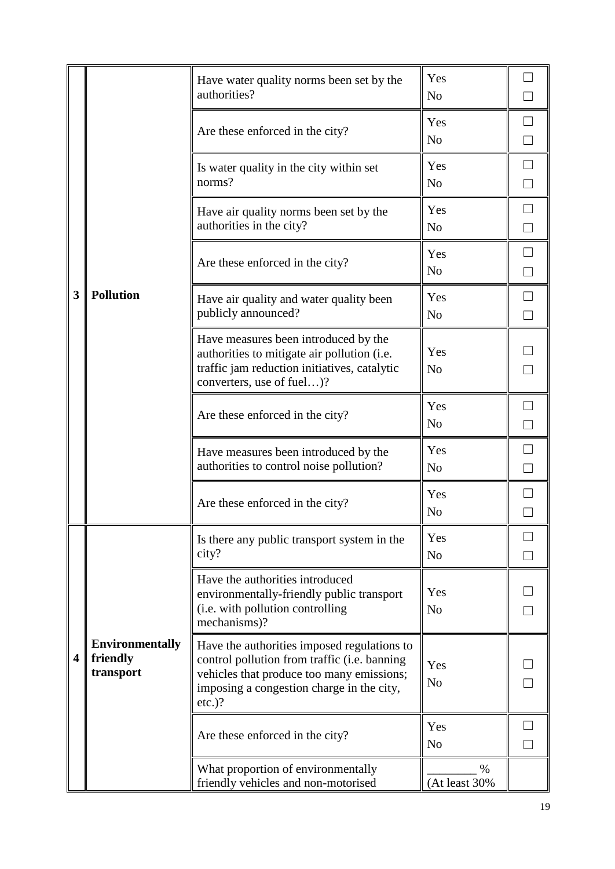|   |                                                 | Have water quality norms been set by the<br>authorities?                                                                                                                                           | Yes<br>N <sub>o</sub> |        |
|---|-------------------------------------------------|----------------------------------------------------------------------------------------------------------------------------------------------------------------------------------------------------|-----------------------|--------|
|   |                                                 | Are these enforced in the city?                                                                                                                                                                    | Yes<br>N <sub>o</sub> |        |
|   |                                                 | Is water quality in the city within set<br>norms?                                                                                                                                                  | Yes<br>N <sub>o</sub> |        |
|   |                                                 | Have air quality norms been set by the<br>authorities in the city?                                                                                                                                 | Yes<br>N <sub>o</sub> | $\Box$ |
|   |                                                 | Are these enforced in the city?                                                                                                                                                                    | Yes<br>N <sub>o</sub> | $\Box$ |
| 3 | <b>Pollution</b>                                | Have air quality and water quality been<br>publicly announced?                                                                                                                                     | Yes<br>N <sub>o</sub> |        |
|   |                                                 | Have measures been introduced by the<br>authorities to mitigate air pollution (i.e.<br>traffic jam reduction initiatives, catalytic<br>converters, use of fuel)?                                   | Yes<br>N <sub>o</sub> |        |
|   |                                                 | Are these enforced in the city?                                                                                                                                                                    | Yes<br>N <sub>o</sub> | $\Box$ |
|   |                                                 | Have measures been introduced by the<br>authorities to control noise pollution?                                                                                                                    | Yes<br>N <sub>o</sub> |        |
|   |                                                 | Are these enforced in the city?                                                                                                                                                                    | Yes<br>N <sub>o</sub> |        |
|   |                                                 | Is there any public transport system in the<br>city?                                                                                                                                               | Yes<br>N <sub>o</sub> |        |
|   |                                                 | Have the authorities introduced<br>environmentally-friendly public transport<br>(i.e. with pollution controlling<br>mechanisms)?                                                                   | Yes<br>N <sub>o</sub> |        |
| 4 | <b>Environmentally</b><br>friendly<br>transport | Have the authorities imposed regulations to<br>control pollution from traffic (i.e. banning<br>vehicles that produce too many emissions;<br>imposing a congestion charge in the city,<br>$etc.$ )? | Yes<br>N <sub>o</sub> |        |
|   |                                                 | Are these enforced in the city?                                                                                                                                                                    | Yes<br>N <sub>o</sub> |        |
|   |                                                 | What proportion of environmentally<br>friendly vehicles and non-motorised                                                                                                                          | %<br>(At least 30%    |        |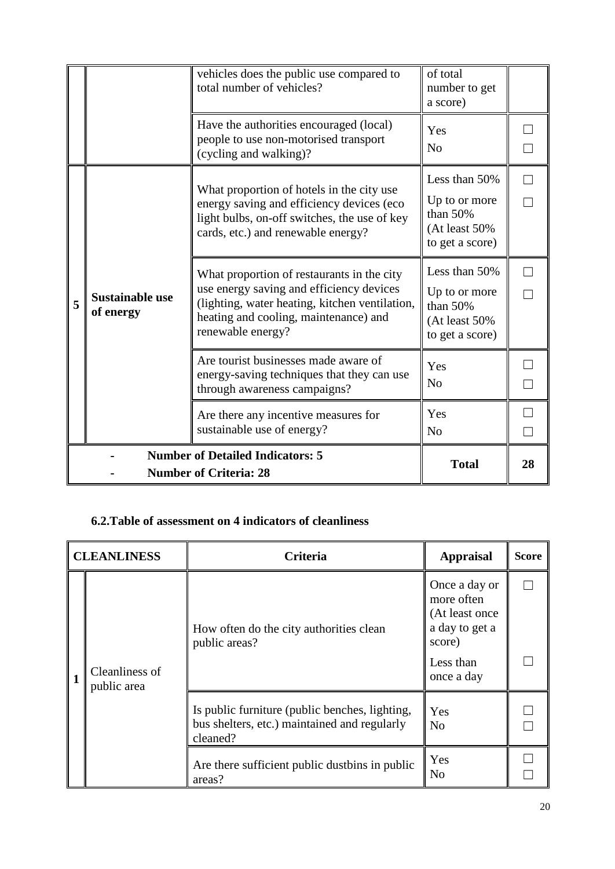|   |                                                                          | vehicles does the public use compared to<br>total number of vehicles?                                                                                                                                  | of total<br>number to get<br>a score)                                               |  |
|---|--------------------------------------------------------------------------|--------------------------------------------------------------------------------------------------------------------------------------------------------------------------------------------------------|-------------------------------------------------------------------------------------|--|
|   |                                                                          | Have the authorities encouraged (local)<br>people to use non-motorised transport<br>(cycling and walking)?                                                                                             | Yes<br>N <sub>o</sub>                                                               |  |
|   |                                                                          | What proportion of hotels in the city use<br>energy saving and efficiency devices (eco<br>light bulbs, on-off switches, the use of key<br>cards, etc.) and renewable energy?                           | Less than 50%<br>Up to or more<br>than $50%$<br>(At least 50%<br>to get a score)    |  |
| 5 | <b>Sustainable use</b><br>of energy                                      | What proportion of restaurants in the city<br>use energy saving and efficiency devices<br>(lighting, water heating, kitchen ventilation,<br>heating and cooling, maintenance) and<br>renewable energy? | Less than 50%<br>Up to or more<br>than $50%$<br>$(At least 50\%$<br>to get a score) |  |
|   |                                                                          | Are tourist businesses made aware of<br>energy-saving techniques that they can use<br>through awareness campaigns?                                                                                     | Yes<br>N <sub>0</sub>                                                               |  |
|   |                                                                          | Are there any incentive measures for<br>sustainable use of energy?                                                                                                                                     | Yes<br>N <sub>0</sub>                                                               |  |
|   | <b>Number of Detailed Indicators: 5</b><br><b>Number of Criteria: 28</b> | <b>Total</b>                                                                                                                                                                                           | 28                                                                                  |  |

## <span id="page-19-0"></span>**6.2.Table of assessment on 4 indicators of cleanliness**

|   | <b>CLEANLINESS</b>            | Criteria                                                                                                   | <b>Appraisal</b>                                                                                      | <b>Score</b> |
|---|-------------------------------|------------------------------------------------------------------------------------------------------------|-------------------------------------------------------------------------------------------------------|--------------|
| 1 | Cleanliness of<br>public area | How often do the city authorities clean<br>public areas?                                                   | Once a day or<br>more often<br>(At least once)<br>a day to get a<br>score)<br>Less than<br>once a day |              |
|   |                               | Is public furniture (public benches, lighting,<br>bus shelters, etc.) maintained and regularly<br>cleaned? | Yes<br>N <sub>0</sub>                                                                                 |              |
|   |                               | Are there sufficient public dustbins in public<br>areas?                                                   | Yes<br>N <sub>0</sub>                                                                                 |              |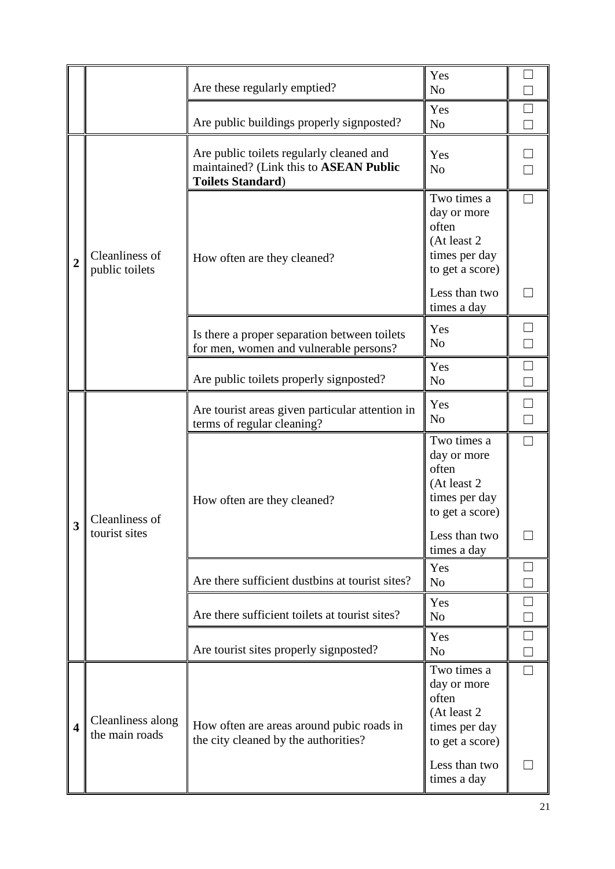|                         |                                     | Are these regularly emptied?                                                                                   | Yes<br>N <sub>o</sub>                                                                   |                  |
|-------------------------|-------------------------------------|----------------------------------------------------------------------------------------------------------------|-----------------------------------------------------------------------------------------|------------------|
|                         |                                     | Are public buildings properly signposted?                                                                      | Yes<br>N <sub>o</sub>                                                                   |                  |
| $\overline{2}$          |                                     | Are public toilets regularly cleaned and<br>maintained? (Link this to ASEAN Public<br><b>Toilets Standard)</b> | Yes<br>N <sub>o</sub>                                                                   |                  |
|                         | Cleanliness of<br>public toilets    | How often are they cleaned?                                                                                    | Two times a<br>day or more<br>often<br>(At least 2)<br>times per day<br>to get a score) |                  |
|                         |                                     |                                                                                                                | Less than two<br>times a day                                                            |                  |
|                         |                                     | Is there a proper separation between toilets<br>for men, women and vulnerable persons?                         | Yes<br>N <sub>o</sub>                                                                   |                  |
|                         |                                     | Are public toilets properly signposted?                                                                        | Yes<br>N <sub>o</sub>                                                                   | $\frac{1}{\Box}$ |
|                         | Cleanliness of<br>tourist sites     | Are tourist areas given particular attention in<br>terms of regular cleaning?                                  | Yes<br>No                                                                               | $\Box$           |
|                         |                                     | How often are they cleaned?                                                                                    | Two times a<br>day or more<br>often<br>(At least 2)<br>times per day<br>to get a score) |                  |
| $\overline{\mathbf{3}}$ |                                     |                                                                                                                | Less than two<br>times a day                                                            |                  |
|                         |                                     | Are there sufficient dustbins at tourist sites?                                                                | Yes<br>N <sub>o</sub>                                                                   |                  |
|                         |                                     | Are there sufficient toilets at tourist sites?                                                                 | Yes<br>N <sub>o</sub>                                                                   |                  |
|                         |                                     | Are tourist sites properly signposted?                                                                         | Yes<br>N <sub>o</sub>                                                                   |                  |
| $\overline{\mathbf{4}}$ | Cleanliness along<br>the main roads | How often are areas around pubic roads in<br>the city cleaned by the authorities?                              | Two times a<br>day or more<br>often<br>(At least 2)<br>times per day<br>to get a score) |                  |
|                         |                                     |                                                                                                                | Less than two<br>times a day                                                            |                  |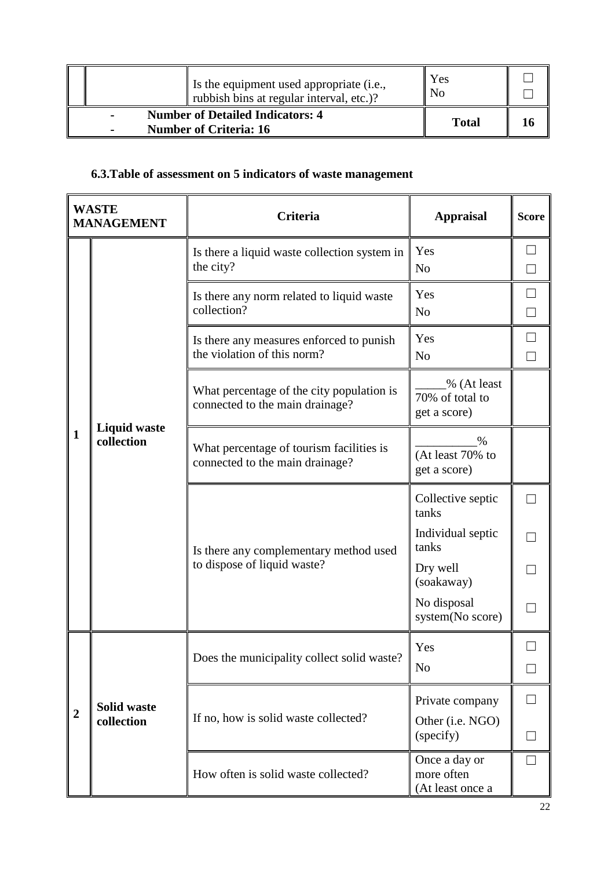|  | Is the equipment used appropriate (i.e.,<br>rubbish bins at regular interval, etc.)? | Yes<br>N <sub>o</sub> |    |
|--|--------------------------------------------------------------------------------------|-----------------------|----|
|  | <b>Number of Detailed Indicators: 4</b><br><b>Number of Criteria: 16</b>             | <b>Total</b>          | 16 |

# <span id="page-21-0"></span>**6.3.Table of assessment on 5 indicators of waste management**

| <b>WASTE</b><br><b>MANAGEMENT</b> |                                   | <b>Criteria</b>                                                              | <b>Appraisal</b>                                | <b>Score</b> |
|-----------------------------------|-----------------------------------|------------------------------------------------------------------------------|-------------------------------------------------|--------------|
|                                   | <b>Liquid waste</b><br>collection | Is there a liquid waste collection system in<br>the city?                    | Yes<br>N <sub>o</sub>                           |              |
|                                   |                                   | Is there any norm related to liquid waste<br>collection?                     | Yes<br>N <sub>0</sub>                           | $\Box$       |
|                                   |                                   | Is there any measures enforced to punish<br>the violation of this norm?      | Yes<br>N <sub>o</sub>                           |              |
|                                   |                                   | What percentage of the city population is<br>connected to the main drainage? | % (At least<br>70% of total to<br>get a score)  |              |
| $\mathbf{1}$                      |                                   | What percentage of tourism facilities is<br>connected to the main drainage?  | $\%$<br>(At least 70% to<br>get a score)        |              |
|                                   |                                   | Is there any complementary method used<br>to dispose of liquid waste?        | Collective septic<br>tanks                      |              |
|                                   |                                   |                                                                              | Individual septic<br>tanks                      |              |
|                                   |                                   |                                                                              | Dry well<br>(soakaway)                          |              |
|                                   |                                   |                                                                              | No disposal<br>system(No score)                 |              |
|                                   |                                   | Does the municipality collect solid waste?                                   | Yes                                             |              |
|                                   |                                   |                                                                              | N <sub>o</sub>                                  |              |
| $\overline{2}$                    | <b>Solid waste</b><br>collection  | If no, how is solid waste collected?                                         | Private company<br>Other (i.e. NGO)             |              |
|                                   |                                   |                                                                              | (specify)                                       |              |
|                                   |                                   | How often is solid waste collected?                                          | Once a day or<br>more often<br>(At least once a |              |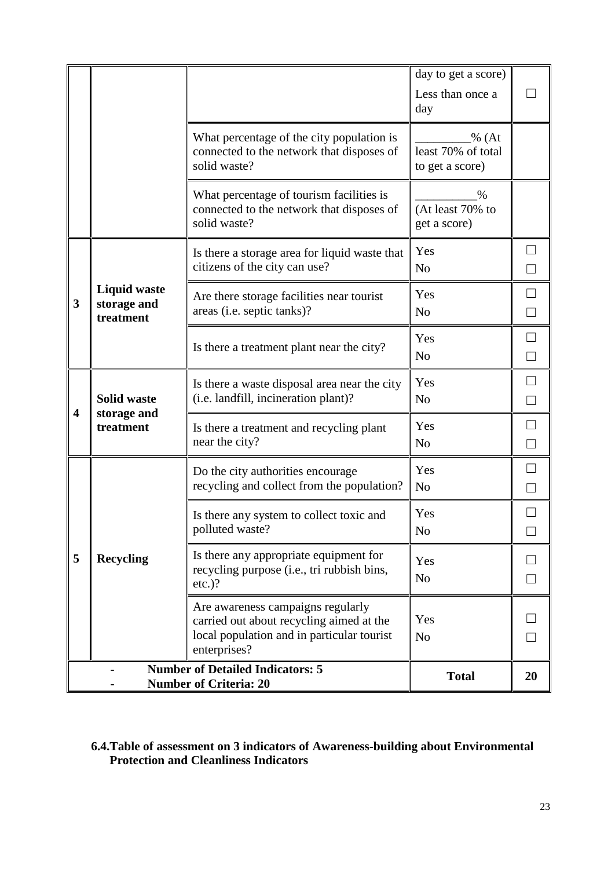|                         |                                                                                                |                                                                                                                                             | day to get a score)<br>Less than once a<br>day  |                  |  |
|-------------------------|------------------------------------------------------------------------------------------------|---------------------------------------------------------------------------------------------------------------------------------------------|-------------------------------------------------|------------------|--|
|                         |                                                                                                | What percentage of the city population is<br>connected to the network that disposes of<br>solid waste?                                      | % (At)<br>least 70% of total<br>to get a score) |                  |  |
|                         |                                                                                                | What percentage of tourism facilities is<br>connected to the network that disposes of<br>solid waste?                                       | %<br>(At least 70% to<br>get a score)           |                  |  |
|                         |                                                                                                | Is there a storage area for liquid waste that<br>citizens of the city can use?                                                              | Yes<br>N <sub>o</sub>                           | $\Box$           |  |
| 3                       | <b>Liquid waste</b><br>storage and<br>treatment                                                | Are there storage facilities near tourist<br>areas (i.e. septic tanks)?                                                                     | Yes<br>N <sub>0</sub>                           | $\Box$<br>$\Box$ |  |
|                         |                                                                                                | Is there a treatment plant near the city?                                                                                                   | Yes<br>N <sub>o</sub>                           | П                |  |
| $\overline{\mathbf{4}}$ | <b>Solid waste</b><br>storage and<br>treatment                                                 | Is there a waste disposal area near the city<br>(i.e. landfill, incineration plant)?                                                        | Yes<br>N <sub>o</sub>                           | П<br>$\Box$      |  |
|                         |                                                                                                | Is there a treatment and recycling plant<br>near the city?                                                                                  | Yes<br>N <sub>0</sub>                           |                  |  |
|                         |                                                                                                | Do the city authorities encourage<br>recycling and collect from the population?                                                             | Yes<br>N <sub>o</sub>                           |                  |  |
|                         |                                                                                                | Is there any system to collect toxic and<br>polluted waste?                                                                                 | Yes<br>N <sub>0</sub>                           |                  |  |
| 5                       | <b>Recycling</b>                                                                               | Is there any appropriate equipment for<br>recycling purpose (i.e., tri rubbish bins,<br>$etc.$ )?                                           | Yes<br>N <sub>0</sub>                           |                  |  |
|                         |                                                                                                | Are awareness campaigns regularly<br>carried out about recycling aimed at the<br>local population and in particular tourist<br>enterprises? | Yes<br>N <sub>0</sub>                           |                  |  |
|                         | <b>Number of Detailed Indicators: 5</b><br><b>Total</b><br>20<br><b>Number of Criteria: 20</b> |                                                                                                                                             |                                                 |                  |  |

## <span id="page-22-0"></span>**6.4.Table of assessment on 3 indicators of Awareness-building about Environmental Protection and Cleanliness Indicators**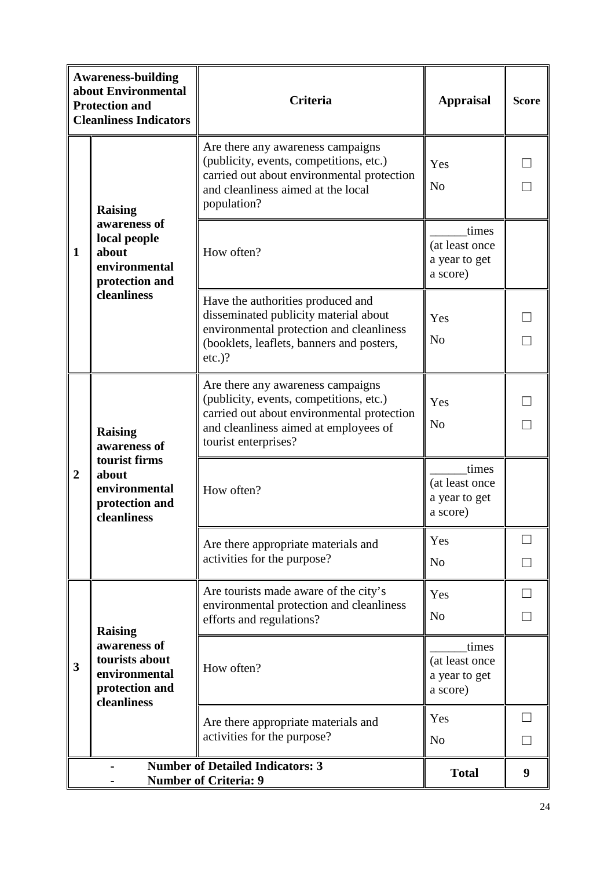|                  | <b>Awareness-building</b><br>about Environmental<br><b>Protection and</b><br><b>Cleanliness Indicators</b> | Criteria                                                                                                                                                                                    | <b>Appraisal</b>                                     | <b>Score</b> |  |
|------------------|------------------------------------------------------------------------------------------------------------|---------------------------------------------------------------------------------------------------------------------------------------------------------------------------------------------|------------------------------------------------------|--------------|--|
|                  | <b>Raising</b>                                                                                             | Are there any awareness campaigns<br>(publicity, events, competitions, etc.)<br>carried out about environmental protection<br>and cleanliness aimed at the local<br>population?             | Yes<br>N <sub>o</sub>                                |              |  |
| $\mathbf{1}$     | awareness of<br>local people<br>about<br>environmental<br>protection and<br>cleanliness                    | How often?                                                                                                                                                                                  | times<br>(at least once<br>a year to get<br>a score) |              |  |
|                  |                                                                                                            | Have the authorities produced and<br>disseminated publicity material about<br>environmental protection and cleanliness<br>(booklets, leaflets, banners and posters,<br>$etc.$ )?            | Yes<br>N <sub>o</sub>                                |              |  |
|                  | <b>Raising</b><br>awareness of<br>tourist firms<br>about<br>environmental<br>protection and<br>cleanliness | Are there any awareness campaigns<br>(publicity, events, competitions, etc.)<br>carried out about environmental protection<br>and cleanliness aimed at employees of<br>tourist enterprises? | Yes<br>N <sub>o</sub>                                |              |  |
| $\boldsymbol{2}$ |                                                                                                            | How often?                                                                                                                                                                                  | times<br>(at least once<br>a year to get<br>a score) |              |  |
|                  |                                                                                                            | Are there appropriate materials and<br>activities for the purpose?                                                                                                                          | Yes<br>N <sub>o</sub>                                |              |  |
|                  | <b>Raising</b>                                                                                             | Are tourists made aware of the city's<br>environmental protection and cleanliness<br>efforts and regulations?                                                                               | Yes<br>N <sub>o</sub>                                |              |  |
| 3                | awareness of<br>tourists about<br>environmental<br>protection and<br>cleanliness                           | How often?                                                                                                                                                                                  | times<br>(at least once<br>a year to get<br>a score) |              |  |
|                  |                                                                                                            | Are there appropriate materials and<br>activities for the purpose?                                                                                                                          | Yes<br>N <sub>o</sub>                                |              |  |
|                  | <b>Number of Detailed Indicators: 3</b><br><b>Total</b><br>9<br><b>Number of Criteria: 9</b>               |                                                                                                                                                                                             |                                                      |              |  |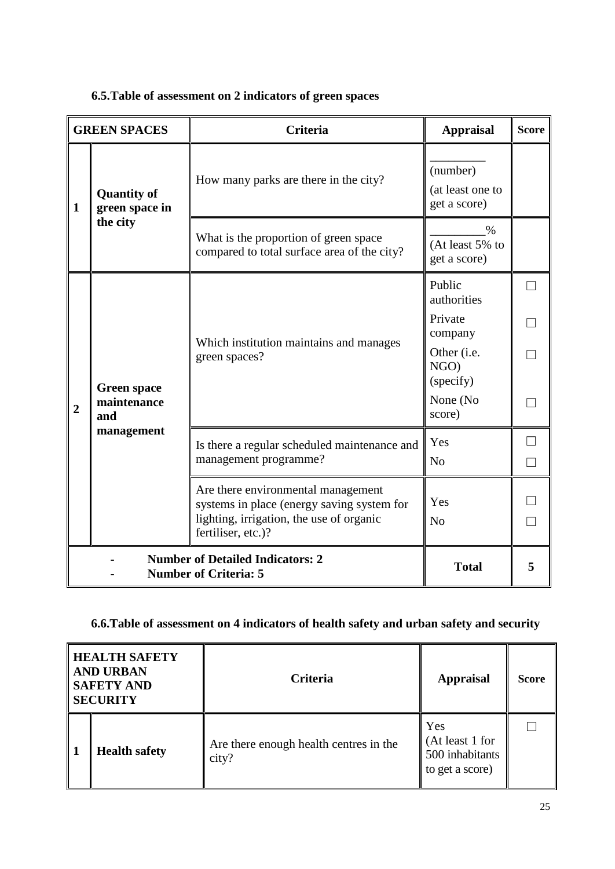|                | <b>GREEN SPACES</b>                                                     | <b>Criteria</b>                                                                                                                                    | <b>Appraisal</b>                             | <b>Score</b> |
|----------------|-------------------------------------------------------------------------|----------------------------------------------------------------------------------------------------------------------------------------------------|----------------------------------------------|--------------|
| $\mathbf{1}$   | <b>Quantity of</b><br>green space in                                    | How many parks are there in the city?                                                                                                              | (number)<br>(at least one to<br>get a score) |              |
|                | the city                                                                | What is the proportion of green space<br>compared to total surface area of the city?                                                               | $\%$<br>(At least 5% to<br>get a score)      |              |
|                |                                                                         |                                                                                                                                                    | Public<br>authorities                        |              |
|                | <b>Green space</b><br>maintenance<br>and<br>management                  |                                                                                                                                                    | Private<br>company                           |              |
|                |                                                                         | Which institution maintains and manages<br>green spaces?                                                                                           | Other ( <i>i.e.</i><br>NGO)<br>(specify)     |              |
| $\overline{2}$ |                                                                         |                                                                                                                                                    | None (No<br>score)                           |              |
|                |                                                                         | Is there a regular scheduled maintenance and                                                                                                       | Yes                                          |              |
|                |                                                                         | management programme?                                                                                                                              | N <sub>0</sub>                               | $\Box$       |
|                |                                                                         | Are there environmental management<br>systems in place (energy saving system for<br>lighting, irrigation, the use of organic<br>fertiliser, etc.)? | Yes<br>N <sub>0</sub>                        |              |
|                | <b>Number of Detailed Indicators: 2</b><br><b>Number of Criteria: 5</b> | <b>Total</b>                                                                                                                                       | 5                                            |              |

# <span id="page-24-0"></span>**6.5.Table of assessment on 2 indicators of green spaces**

# <span id="page-24-1"></span>**6.6.Table of assessment on 4 indicators of health safety and urban safety and security**

| <b>HEALTH SAFETY</b><br><b>AND URBAN</b><br><b>SAFETY AND</b><br><b>SECURITY</b> |                      | <b>Criteria</b>                                 | <b>Appraisal</b>                                             | <b>Score</b> |
|----------------------------------------------------------------------------------|----------------------|-------------------------------------------------|--------------------------------------------------------------|--------------|
|                                                                                  | <b>Health safety</b> | Are there enough health centres in the<br>city? | Yes<br>(At least 1 for<br>500 inhabitants<br>to get a score) |              |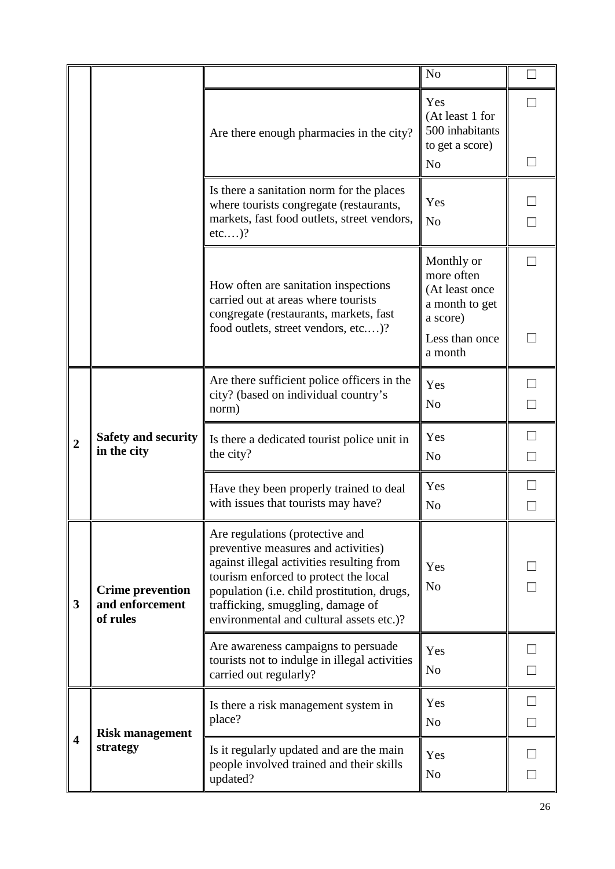|                         |                                                        |                                                                                                                                                                                                                                                                                              | N <sub>o</sub>                                                                                        |        |
|-------------------------|--------------------------------------------------------|----------------------------------------------------------------------------------------------------------------------------------------------------------------------------------------------------------------------------------------------------------------------------------------------|-------------------------------------------------------------------------------------------------------|--------|
|                         |                                                        | Are there enough pharmacies in the city?                                                                                                                                                                                                                                                     | Yes<br>(At least 1 for<br>500 inhabitants<br>to get a score)<br>N <sub>o</sub>                        | $\Box$ |
|                         |                                                        | Is there a sanitation norm for the places<br>where tourists congregate (restaurants,<br>markets, fast food outlets, street vendors,<br>etc)?                                                                                                                                                 | Yes<br>N <sub>o</sub>                                                                                 |        |
|                         |                                                        | How often are sanitation inspections<br>carried out at areas where tourists<br>congregate (restaurants, markets, fast<br>food outlets, street vendors, etc)?                                                                                                                                 | Monthly or<br>more often<br>(At least once<br>a month to get<br>a score)<br>Less than once<br>a month |        |
| $\overline{2}$          | <b>Safety and security</b><br>in the city              | Are there sufficient police officers in the<br>city? (based on individual country's<br>norm)                                                                                                                                                                                                 | Yes<br>N <sub>o</sub>                                                                                 |        |
|                         |                                                        | Is there a dedicated tourist police unit in<br>the city?                                                                                                                                                                                                                                     | Yes<br>N <sub>o</sub>                                                                                 |        |
|                         |                                                        | Have they been properly trained to deal<br>with issues that tourists may have?                                                                                                                                                                                                               | Yes<br>N <sub>o</sub>                                                                                 |        |
| 3                       | <b>Crime prevention</b><br>and enforcement<br>of rules | Are regulations (protective and<br>preventive measures and activities)<br>against illegal activities resulting from<br>tourism enforced to protect the local<br>population (i.e. child prostitution, drugs,<br>trafficking, smuggling, damage of<br>environmental and cultural assets etc.)? | Yes<br>N <sub>o</sub>                                                                                 |        |
|                         |                                                        | Are awareness campaigns to persuade<br>tourists not to indulge in illegal activities<br>carried out regularly?                                                                                                                                                                               | Yes<br>N <sub>o</sub>                                                                                 |        |
| $\overline{\mathbf{4}}$ | <b>Risk management</b><br>strategy                     | Is there a risk management system in<br>place?                                                                                                                                                                                                                                               | Yes<br>N <sub>o</sub>                                                                                 |        |
|                         |                                                        | Is it regularly updated and are the main<br>people involved trained and their skills<br>updated?                                                                                                                                                                                             | Yes<br>N <sub>o</sub>                                                                                 |        |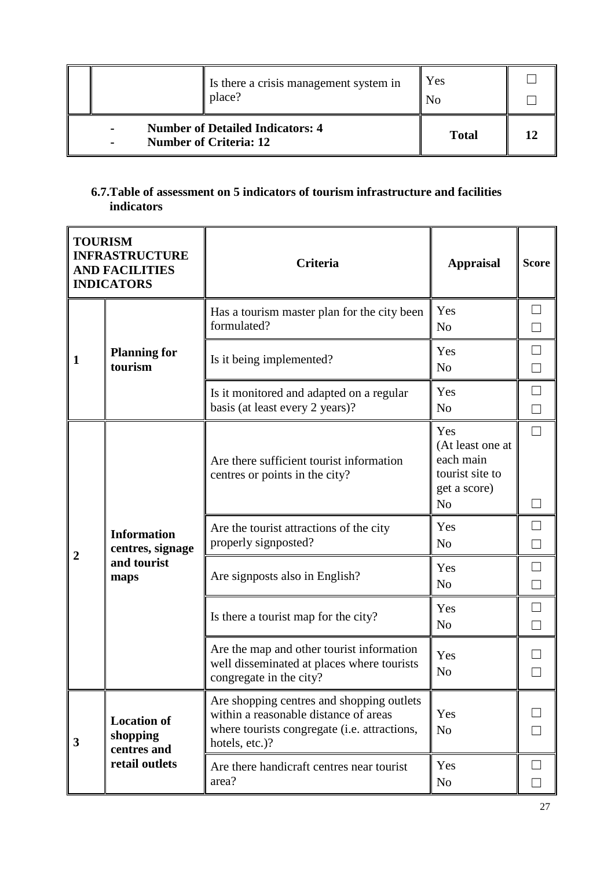|                                                                                            |  | Is there a crisis management system in<br>place? | Yes<br>N٥    |  |
|--------------------------------------------------------------------------------------------|--|--------------------------------------------------|--------------|--|
| <b>Number of Detailed Indicators: 4</b><br><b>Number of Criteria: 12</b><br>$\blacksquare$ |  |                                                  | <b>Total</b> |  |

## <span id="page-26-0"></span>**6.7.Table of assessment on 5 indicators of tourism infrastructure and facilities indicators**

| <b>TOURISM</b><br><b>INFRASTRUCTURE</b><br><b>AND FACILITIES</b><br><b>INDICATORS</b> |                                                                 | <b>Criteria</b>                                                                                                                                      | <b>Appraisal</b>                                                                          | <b>Score</b>     |
|---------------------------------------------------------------------------------------|-----------------------------------------------------------------|------------------------------------------------------------------------------------------------------------------------------------------------------|-------------------------------------------------------------------------------------------|------------------|
|                                                                                       | <b>Planning for</b><br>tourism                                  | Has a tourism master plan for the city been<br>formulated?                                                                                           | Yes<br>N <sub>0</sub>                                                                     |                  |
| $\mathbf{1}$                                                                          |                                                                 | Is it being implemented?                                                                                                                             | Yes<br>N <sub>0</sub>                                                                     | $\Box$           |
|                                                                                       |                                                                 | Is it monitored and adapted on a regular<br>basis (at least every 2 years)?                                                                          | Yes<br>N <sub>o</sub>                                                                     | $\Box$           |
|                                                                                       | <b>Information</b><br>centres, signage<br>and tourist<br>maps   | Are there sufficient tourist information<br>centres or points in the city?                                                                           | Yes<br>(At least one at<br>each main<br>tourist site to<br>get a score)<br>N <sub>o</sub> | $\Box$           |
|                                                                                       |                                                                 | Are the tourist attractions of the city<br>properly signposted?                                                                                      | Yes<br>N <sub>o</sub>                                                                     |                  |
| 2                                                                                     |                                                                 | Are signposts also in English?                                                                                                                       | Yes<br>N <sub>0</sub>                                                                     | $\Box$<br>$\Box$ |
|                                                                                       |                                                                 | Is there a tourist map for the city?                                                                                                                 | Yes<br>N <sub>0</sub>                                                                     |                  |
|                                                                                       |                                                                 | Are the map and other tourist information<br>well disseminated at places where tourists<br>congregate in the city?                                   | Yes<br>No                                                                                 |                  |
| 3                                                                                     | <b>Location of</b><br>shopping<br>centres and<br>retail outlets | Are shopping centres and shopping outlets<br>within a reasonable distance of areas<br>where tourists congregate (i.e. attractions,<br>hotels, etc.)? | Yes<br>N <sub>o</sub>                                                                     |                  |
|                                                                                       |                                                                 | Are there handicraft centres near tourist<br>area?                                                                                                   | Yes<br>N <sub>o</sub>                                                                     |                  |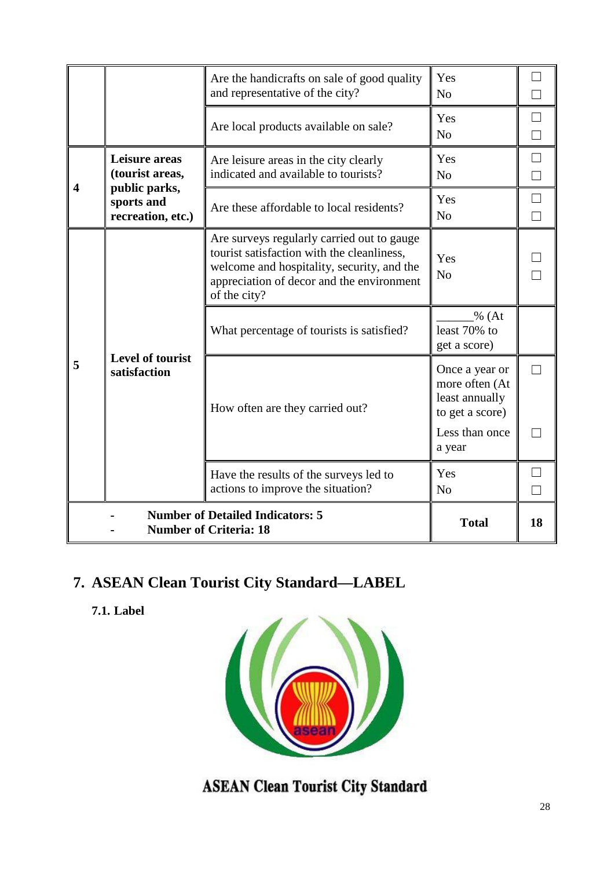|                                                                          |                                                  | Are the handicrafts on sale of good quality<br>and representative of the city?                                                                                                                      | Yes<br>N <sub>o</sub>                                                 |    |
|--------------------------------------------------------------------------|--------------------------------------------------|-----------------------------------------------------------------------------------------------------------------------------------------------------------------------------------------------------|-----------------------------------------------------------------------|----|
|                                                                          |                                                  | Are local products available on sale?                                                                                                                                                               | Yes<br>N <sub>0</sub>                                                 | ┑  |
|                                                                          | Leisure areas<br>(tourist areas,                 | Are leisure areas in the city clearly<br>indicated and available to tourists?                                                                                                                       | Yes<br>N <sub>o</sub>                                                 |    |
| $\boldsymbol{4}$                                                         | public parks,<br>sports and<br>recreation, etc.) | Are these affordable to local residents?                                                                                                                                                            | Yes<br>N <sub>o</sub>                                                 |    |
|                                                                          |                                                  | Are surveys regularly carried out to gauge<br>tourist satisfaction with the cleanliness,<br>welcome and hospitality, security, and the<br>appreciation of decor and the environment<br>of the city? | Yes<br>N <sub>o</sub>                                                 |    |
|                                                                          | <b>Level of tourist</b><br>satisfaction          | What percentage of tourists is satisfied?                                                                                                                                                           | $\frac{9}{6}$ (At<br>least 70% to<br>get a score)                     |    |
| 5                                                                        |                                                  | How often are they carried out?                                                                                                                                                                     | Once a year or<br>more often (At<br>least annually<br>to get a score) |    |
|                                                                          |                                                  |                                                                                                                                                                                                     | Less than once<br>a year                                              |    |
|                                                                          |                                                  | Have the results of the surveys led to<br>actions to improve the situation?                                                                                                                         | Yes<br>N <sub>o</sub>                                                 |    |
| <b>Number of Detailed Indicators: 5</b><br><b>Number of Criteria: 18</b> |                                                  |                                                                                                                                                                                                     | <b>Total</b>                                                          | 18 |

# **7. ASEAN Clean Tourist City Standard—LABEL**

**7.1. Label**



**ASEAN Clean Tourist City Standard**